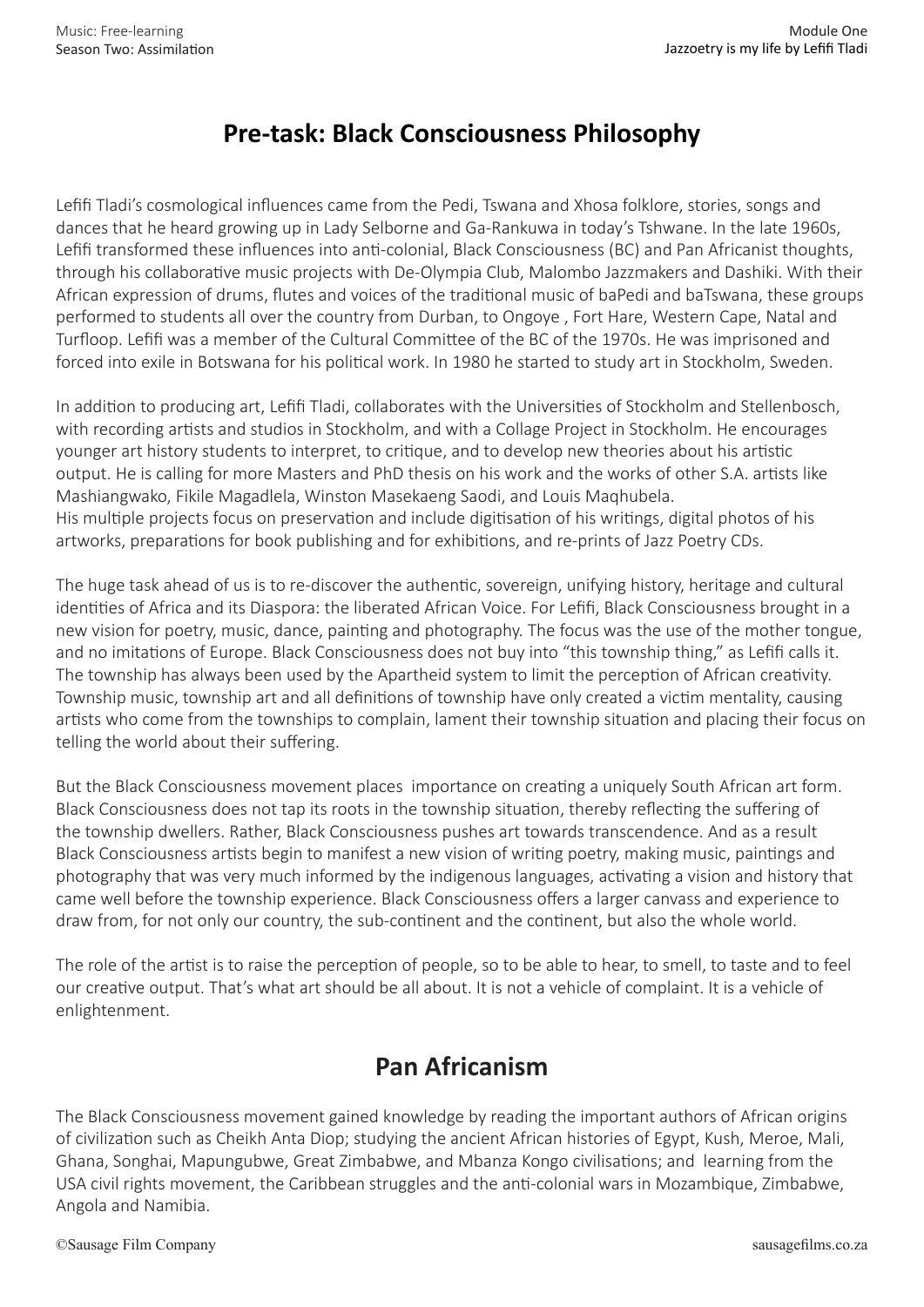## **Pre-task: Black Consciousness Philosophy**

Lefifi Tladi's cosmological influences came from the Pedi, Tswana and Xhosa folklore, stories, songs and dances that he heard growing up in Lady Selborne and Ga-Rankuwa in today's Tshwane. In the late 1960s, Lefifi transformed these influences into anti-colonial, Black Consciousness (BC) and Pan Africanist thoughts, through his collaborative music projects with De-Olympia Club, Malombo Jazzmakers and Dashiki. With their African expression of drums, flutes and voices of the traditional music of baPedi and baTswana, these groups performed to students all over the country from Durban, to Ongoye , Fort Hare, Western Cape, Natal and Turfloop. Lefifi was a member of the Cultural Committee of the BC of the 1970s. He was imprisoned and forced into exile in Botswana for his political work. In 1980 he started to study art in Stockholm, Sweden.

In addition to producing art, Lefifi Tladi, collaborates with the Universities of Stockholm and Stellenbosch, with recording artists and studios in Stockholm, and with a Collage Project in Stockholm. He encourages younger art history students to interpret, to critique, and to develop new theories about his artistic output. He is calling for more Masters and PhD thesis on his work and the works of other S.A. artists like Mashiangwako, Fikile Magadlela, Winston Masekaeng Saodi, and Louis Maqhubela. His multiple projects focus on preservation and include digitisation of his writings, digital photos of his artworks, preparations for book publishing and for exhibitions, and re-prints of Jazz Poetry CDs.

The huge task ahead of us is to re-discover the authentic, sovereign, unifying history, heritage and cultural identities of Africa and its Diaspora: the liberated African Voice. For Lefifi, Black Consciousness brought in a new vision for poetry, music, dance, painting and photography. The focus was the use of the mother tongue, and no imitations of Europe. Black Consciousness does not buy into "this township thing," as Lefifi calls it. The township has always been used by the Apartheid system to limit the perception of African creativity. Township music, township art and all definitions of township have only created a victim mentality, causing artists who come from the townships to complain, lament their township situation and placing their focus on telling the world about their suffering.

But the Black Consciousness movement places importance on creating a uniquely South African art form. Black Consciousness does not tap its roots in the township situation, thereby reflecting the suffering of the township dwellers. Rather, Black Consciousness pushes art towards transcendence. And as a result Black Consciousness artists begin to manifest a new vision of writing poetry, making music, paintings and photography that was very much informed by the indigenous languages, activating a vision and history that came well before the township experience. Black Consciousness offers a larger canvass and experience to draw from, for not only our country, the sub-continent and the continent, but also the whole world.

The role of the artist is to raise the perception of people, so to be able to hear, to smell, to taste and to feel our creative output. That's what art should be all about. It is not a vehicle of complaint. It is a vehicle of enlightenment.

## **Pan Africanism**

The Black Consciousness movement gained knowledge by reading the important authors of African origins of civilization such as Cheikh Anta Diop; studying the ancient African histories of Egypt, Kush, Meroe, Mali, Ghana, Songhai, Mapungubwe, Great Zimbabwe, and Mbanza Kongo civilisations; and learning from the USA civil rights movement, the Caribbean struggles and the anti-colonial wars in Mozambique, Zimbabwe, Angola and Namibia.